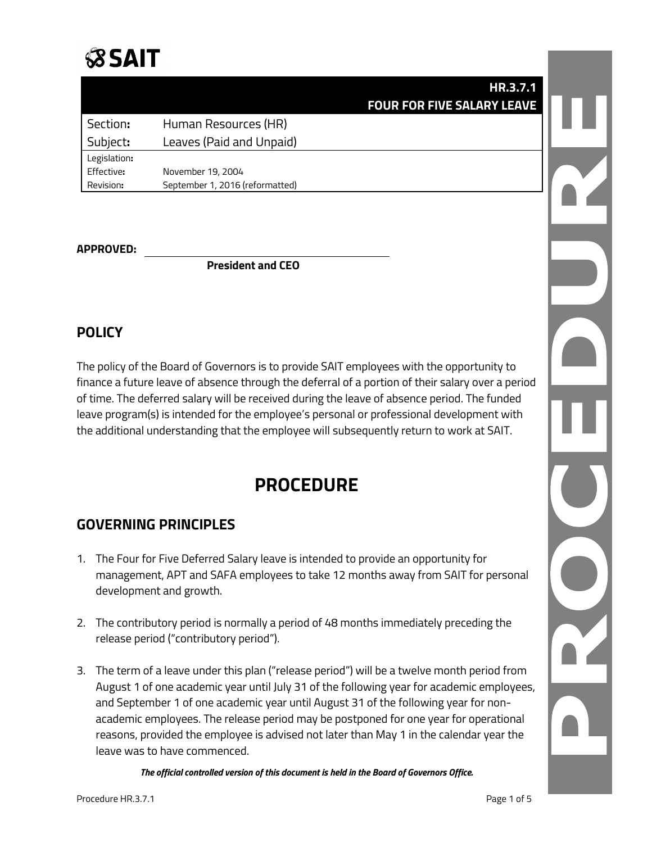# **SSAIT**

|              |                                 | <b>HR.3.7.1</b>                   |  |
|--------------|---------------------------------|-----------------------------------|--|
|              |                                 | <b>FOUR FOR FIVE SALARY LEAVE</b> |  |
| Section:     | Human Resources (HR)            |                                   |  |
| Subject:     | Leaves (Paid and Unpaid)        |                                   |  |
| Legislation: |                                 |                                   |  |
| Effective:   | November 19, 2004               |                                   |  |
| Revision:    | September 1, 2016 (reformatted) |                                   |  |

#### **APPROVED:**

**President and CEO**

## **POLICY**

The policy of the Board of Governors is to provide SAIT employees with the opportunity to finance a future leave of absence through the deferral of a portion of their salary over a period of time. The deferred salary will be received during the leave of absence period. The funded leave program(s) is intended for the employee's personal or professional development with the additional understanding that the employee will subsequently return to work at SAIT.

# **PROCEDURE**

# **GOVERNING PRINCIPLES**

- 1. The Four for Five Deferred Salary leave is intended to provide an opportunity for management, APT and SAFA employees to take 12 months away from SAIT for personal development and growth.
- 2. The contributory period is normally a period of 48 months immediately preceding the release period ("contributory period").
- 3. The term of a leave under this plan ("release period") will be a twelve month period from August 1 of one academic year until July 31 of the following year for academic employees, and September 1 of one academic year until August 31 of the following year for nonacademic employees. The release period may be postponed for one year for operational reasons, provided the employee is advised not later than May 1 in the calendar year the leave was to have commenced.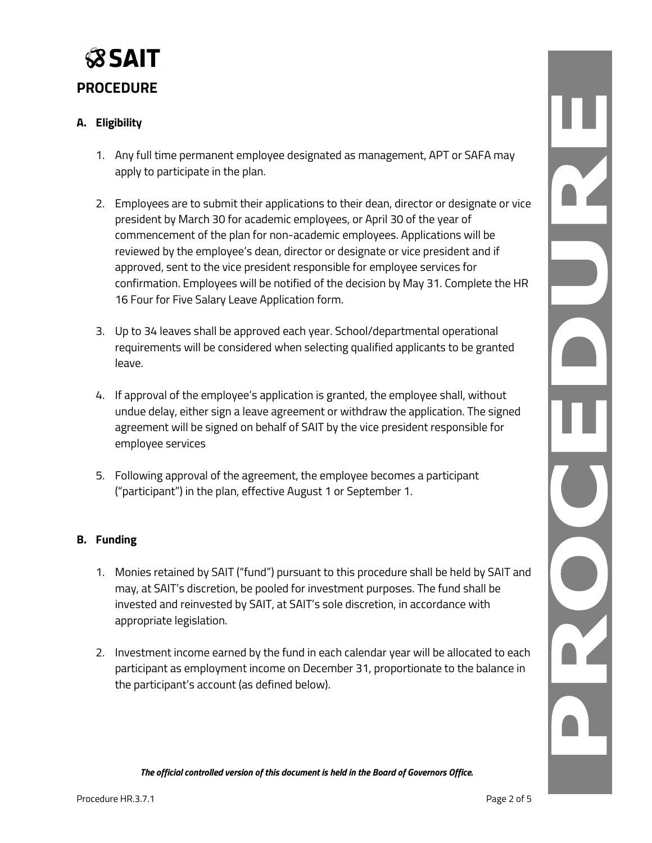

#### **A. Eligibility**

- 1. Any full time permanent employee designated as management, APT or SAFA may apply to participate in the plan.
- 2. Employees are to submit their applications to their dean, director or designate or vice president by March 30 for academic employees, or April 30 of the year of commencement of the plan for non-academic employees. Applications will be reviewed by the employee's dean, director or designate or vice president and if approved, sent to the vice president responsible for employee services for confirmation. Employees will be notified of the decision by May 31. Complete the HR 16 Four for Five Salary Leave Application form.
- 3. Up to 34 leaves shall be approved each year. School/departmental operational requirements will be considered when selecting qualified applicants to be granted leave.
- 4. If approval of the employee's application is granted, the employee shall, without undue delay, either sign a leave agreement or withdraw the application. The signed agreement will be signed on behalf of SAIT by the vice president responsible for employee services
- 5. Following approval of the agreement, the employee becomes a participant ("participant") in the plan, effective August 1 or September 1.

#### **B. Funding**

- 1. Monies retained by SAIT ("fund") pursuant to this procedure shall be held by SAIT and may, at SAIT's discretion, be pooled for investment purposes. The fund shall be invested and reinvested by SAIT, at SAIT's sole discretion, in accordance with appropriate legislation.
- 2. Investment income earned by the fund in each calendar year will be allocated to each participant as employment income on December 31, proportionate to the balance in the participant's account (as defined below).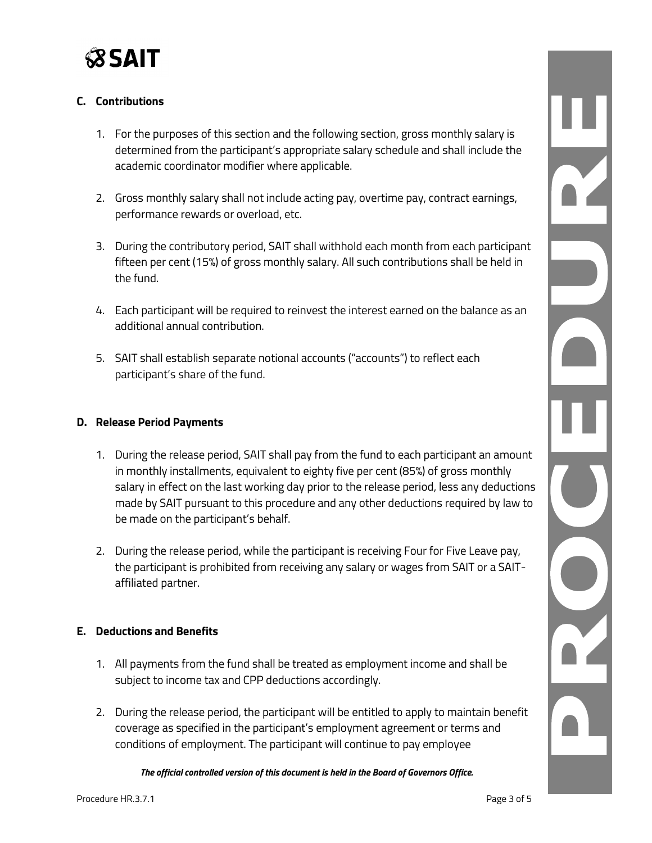

#### **C. Contributions**

- 1. For the purposes of this section and the following section, gross monthly salary is determined from the participant's appropriate salary schedule and shall include the academic coordinator modifier where applicable.
- 2. Gross monthly salary shall not include acting pay, overtime pay, contract earnings, performance rewards or overload, etc.
- 3. During the contributory period, SAIT shall withhold each month from each participant fifteen per cent (15%) of gross monthly salary. All such contributions shall be held in the fund.
- 4. Each participant will be required to reinvest the interest earned on the balance as an additional annual contribution.
- 5. SAIT shall establish separate notional accounts ("accounts") to reflect each participant's share of the fund.

#### **D. Release Period Payments**

- 1. During the release period, SAIT shall pay from the fund to each participant an amount in monthly installments, equivalent to eighty five per cent (85%) of gross monthly salary in effect on the last working day prior to the release period, less any deductions made by SAIT pursuant to this procedure and any other deductions required by law to be made on the participant's behalf.
- 2. During the release period, while the participant is receiving Four for Five Leave pay, the participant is prohibited from receiving any salary or wages from SAIT or a SAITaffiliated partner.

#### **E. Deductions and Benefits**

- 1. All payments from the fund shall be treated as employment income and shall be subject to income tax and CPP deductions accordingly.
- 2. During the release period, the participant will be entitled to apply to maintain benefit coverage as specified in the participant's employment agreement or terms and conditions of employment. The participant will continue to pay employee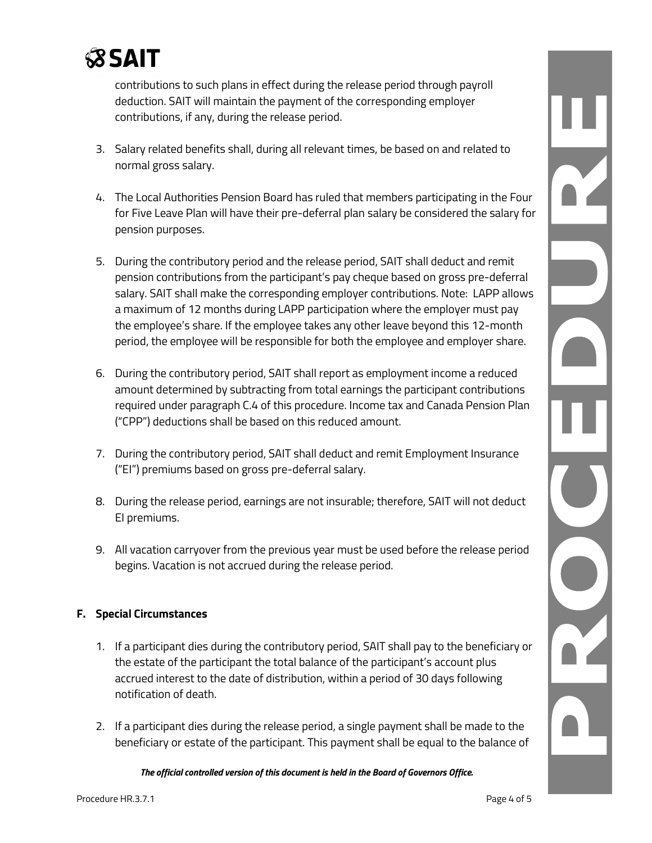

contributions to such plans in effect during the release period through payroll deduction. SAIT will maintain the payment of the corresponding employer contributions, if any, during the release period.

- 3. Salary related benefits shall, during all relevant times, be based on and related to normal gross salary.
- 4. The Local Authorities Pension Board has ruled that members participating in the Four for Five Leave Plan will have their pre-deferral plan salary be considered the salary for pension purposes.
- 5. During the contributory period and the release period, SAIT shall deduct and remit pension contributions from the participant's pay cheque based on gross pre-deferral salary. SAIT shall make the corresponding employer contributions. Note: LAPP allows a maximum of 12 months during LAPP participation where the employer must pay the employee's share. If the employee takes any other leave beyond this 12-month period, the employee will be responsible for both the employee and employer share.
- 6. During the contributory period, SAIT shall report as employment income a reduced amount determined by subtracting from total earnings the participant contributions required under paragraph C.4 of this procedure. Income tax and Canada Pension Plan ("CPP") deductions shall be based on this reduced amount.
- 7. During the contributory period, SAIT shall deduct and remit Employment Insurance ("EI") premiums based on gross pre-deferral salary.
- 8. During the release period, earnings are not insurable; therefore, SAIT will not deduct EI premiums.
- 9. All vacation carryover from the previous year must be used before the release period begins. Vacation is not accrued during the release period.

#### **F. Special Circumstances**

- 1. If a participant dies during the contributory period, SAIT shall pay to the beneficiary or the estate of the participant the total balance of the participant's account plus accrued interest to the date of distribution, within a period of 30 days following notification of death.
- 2. If a participant dies during the release period, a single payment shall be made to the beneficiary or estate of the participant. This payment shall be equal to the balance of